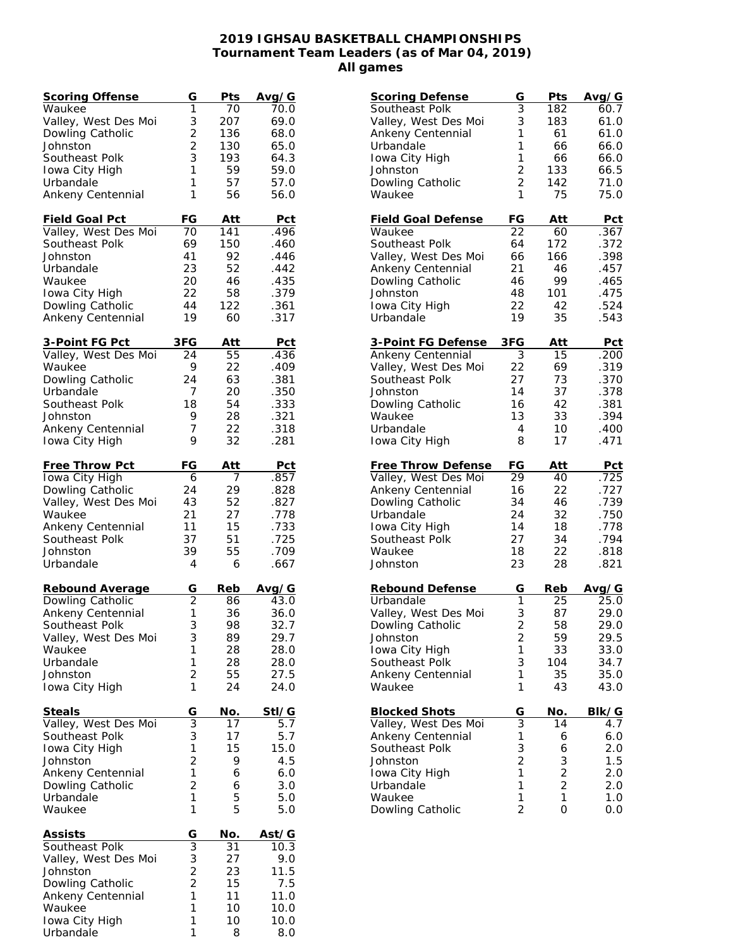## **2019 IGHSAU BASKETBALL CHAMPIONSHIPS Tournament Team Leaders (as of Mar 04, 2019) All games**

| Scoring Offense                     | G              | Pts       | Avg/G         |
|-------------------------------------|----------------|-----------|---------------|
| Waukee                              | 1              | 70        | 70.0          |
| Valley, West Des Moi                | 3              | 207       | 69.0          |
| Dowling Catholic                    | $\overline{c}$ | 136       | 68.0          |
| Johnston                            | $\overline{c}$ | 130       | 65.0          |
| Southeast Polk                      | 3              | 193       | 64.3          |
| Iowa City High                      | 1              | 59        | 59.0          |
| Urbandale                           | 1              | 57        | 57.0          |
| Ankeny Centennial                   | 1              | 56        | 56.0          |
| Field Goal Pct                      | FG             | Att       | Pct           |
| Valley, West Des Moi                | 70             | 141       | .496          |
| Southeast Polk                      | 69             | 150       | .460          |
| Johnston                            | 41             | 92        | .446          |
| Urbandale                           | 23             | 52        | .442          |
| Waukee                              | 20             | 46        | .435          |
| Iowa City High                      | 22             | 58        | .379          |
| Dowling Catholic                    | 44             | 122       | .361          |
| Ankeny Centennial                   | 19             | 60        | .317          |
|                                     |                |           |               |
| 3-Point FG Pct                      | 3FG            | Att       | Pct           |
| Valley, West Des Moi                | 24             | 55        | .436          |
| Waukee                              | 9              | 22        | .409          |
| Dowling Catholic                    | 24             | 63        | .381          |
| Urbandale                           | 7              | 20        | .350          |
| Southeast Polk                      | 18             | 54        | .333          |
| Johnston                            | 9              | 28        | .321          |
| Ankeny Centennial                   | 7              | 22        | .318          |
| Iowa City High                      | 9              | 32        | .281          |
| <b>Free Throw Pct</b>               | FG             | Att       | <u>Pct</u>    |
| Iowa City High                      | 6              | 7         | .857          |
| Dowling Catholic                    | 24             | 29        | .828          |
| Valley, West Des Moi                | 43             | 52        | .827          |
| Waukee                              | 21             | 27        | .778          |
| Ankeny Centennial                   | 11             | 15        | .733          |
| Southeast Polk                      | 37             | 51        | .725          |
| Johnston                            | 39             | 55        | .709          |
| Urbandale                           | 4              | 6         | .667          |
|                                     | G              |           |               |
| Rebound Average<br>Dowling Catholic | $\overline{2}$ | Reb<br>86 | Avg/G<br>43.0 |
| Ankeny Centennial                   | 1              | 36        | 36.0          |
| Southeast Polk                      | 3              | 98        | 32.7          |
| Valley, West Des Moi                | 3              | 89        | 29.7          |
| Waukee                              | 1              | 28        | 28.0          |
| Urbandale                           | 1              | 28        | 28.0          |
| Johnston                            | $\overline{c}$ | 55        | 27.5          |
| Iowa City High                      | 1              | 24        | 24.0          |
|                                     |                |           |               |
| Steals                              | G              | No.       | StI/G         |
| Valley, West Des Moi                | $\overline{3}$ | 17        | 5.7           |
| Southeast Polk                      | 3              | 17        | 5.7           |
| Iowa City High                      | 1              | 15        | 15.0          |
| Johnston                            | $\overline{c}$ | 9         | 4.5           |
| Ankeny Centennial                   | $\mathbf{1}$   | 6         | 6.0           |
| Dowling Catholic                    | $\overline{c}$ | 6         | 3.0           |
| Urbandale                           | 1              | 5         | 5.0           |
| Waukee                              | 1              | 5         | 5.0           |
| <u>Assists</u>                      | G              | No.       | <u>Ast/G</u>  |
| Southeast Polk                      | $\overline{3}$ | 31        | 10.3          |
| Valley, West Des Moi                | $\frac{3}{2}$  | 27        | 9.0           |
| Johnston                            |                | 23        | 11.5          |
| Dowling Catholic                    | $\overline{2}$ | 15        | 7.5           |
| Ankeny Centennial                   | 1              | 11        | 11.0          |
| Waukee                              | 1              | 10        | 10.0          |
| Iowa City High                      | 1              | 10        | 10.0          |
| Urbandale                           | 1              | 8         | 8.0           |

| <b>Scoring Defense</b>    | G              | Pts           | Avg/G |
|---------------------------|----------------|---------------|-------|
| Southeast Polk            | $\overline{3}$ | 182           | 60.7  |
| Valley, West Des Moi      | 3              | 183           | 61.0  |
| Ankeny Centennial         | 1              | 61            | 61.0  |
| Urbandale                 | 1              | 66            | 66.0  |
| Iowa City High            | 1              | 66            | 66.0  |
| Johnston                  | $\overline{c}$ | 133           | 66.5  |
| Dowling Catholic          | $\overline{2}$ | 142           | 71.0  |
| Waukee                    | 1              | 75            | 75.0  |
|                           |                |               |       |
| <b>Field Goal Defense</b> | FG             | Att           | Pct   |
| Waukee                    | 22             | 60            | .367  |
| Southeast Polk            | 64             | 172           | .372  |
| Valley, West Des Moi      | 66             | 166           | .398  |
| Ankeny Centennial         | 21             | 46            | .457  |
| Dowling Catholic          | 46             | 99            | .465  |
| Johnston                  | 48             | 101           | .475  |
| Iowa City High            | 22             | 42            | .524  |
| Urbandale                 | 19             | 35            | .543  |
|                           |                |               |       |
| 3-Point FG Defense        | 3FG            | Att           | Pct   |
| Ankeny Centennial         | 3              | 15            | .200  |
| Valley, West Des Moi      | 22             | 69            | .319  |
| Southeast Polk            | 27             | 73            | .370  |
| Johnston                  | 14             | 37            | .378  |
| Dowling Catholic          | 16             | 42            | .381  |
| Waukee                    | 13             | 33            | .394  |
| Urbandale                 | 4              | 10            | .400  |
| Iowa City High            | 8              | 17            | .471  |
| <b>Free Throw Defense</b> | FG             | Att           | Pct   |
| Valley, West Des Moi      | 29             | 40            | .725  |
| Ankeny Centennial         | 16             | 22            | .727  |
| Dowling Catholic          | 34             | 46            | .739  |
|                           |                |               |       |
| Urbandale                 | 24             | 32            | .750  |
| Iowa City High            | 14             | 18            | .778  |
| Southeast Polk            | 27             | 34            | .794  |
| Waukee                    | 18             | 22            | .818  |
| Johnston                  | 23             | 28            | .821  |
| Rebound Defense           | G              | Reb           | Avg/G |
| Urbandale                 | 1              | 25            | 25.0  |
| Valley, West Des Moi      | 3              | 87            | 29.0  |
| Dowling Catholic          | 2              | 58            | 29.0  |
| Johnston                  | $\overline{c}$ | 59            | 29.5  |
|                           | 1              | 33            | 33.0  |
| Iowa City High            | 3              |               |       |
| Southeast Polk            |                | 104           | 34.7  |
| Ankeny Centennial         | 1<br>1         | 35            | 35.0  |
| Waukee                    |                | 43            | 43.0  |
| <b>Blocked Shots</b>      | G              | No.           | BIk/G |
| Valley, West Des Moi      | 3              | 14            | 4.7   |
| Ankeny Centennial         | 1              | 6             | 6.0   |
| Southeast Polk            |                | 6             | 2.0   |
| Johnston                  | $\frac{3}{2}$  | 3             | 1.5   |
| Iowa City High            | 1              |               | 2.0   |
| Urbandale                 | $\mathbf{1}$   | $\frac{2}{2}$ | 2.0   |
| Waukee                    | 1              | 1             | 1.0   |
| Dowling Catholic          | $\overline{2}$ | 0             |       |
|                           |                |               | 0.0   |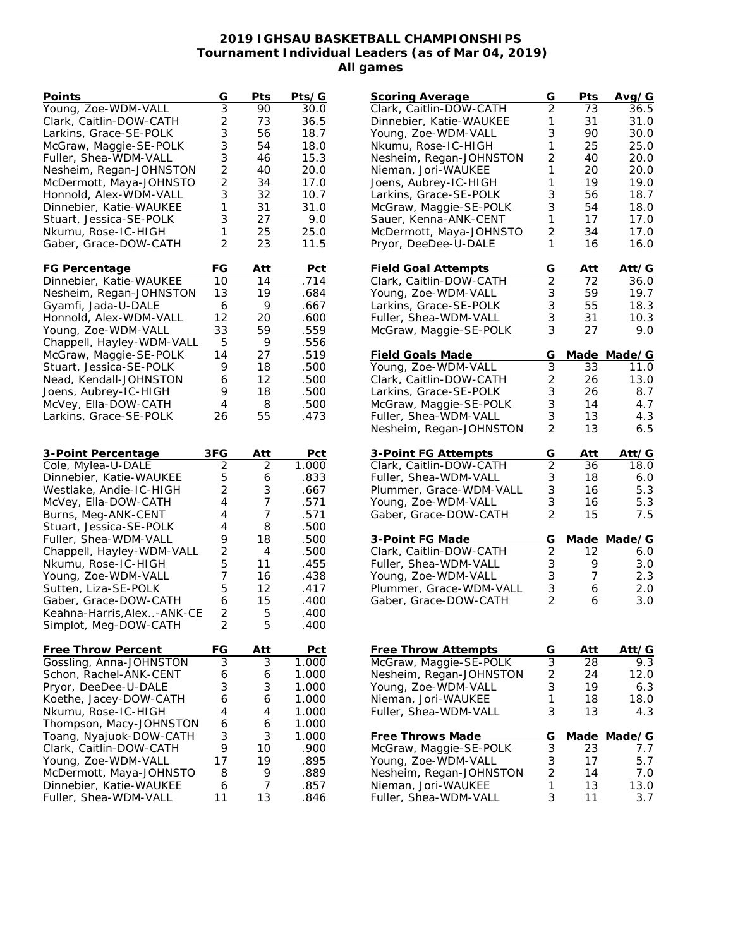## **2019 IGHSAU BASKETBALL CHAMPIONSHIPS Tournament Individual Leaders (as of Mar 04, 2019) All games**

| Points                                           | G              | Pts     | Pts/G |
|--------------------------------------------------|----------------|---------|-------|
| Young, Zoe-WDM-VALL                              | $\overline{3}$ | 90      | 30.0  |
| Clark, Caitlin-DOW-CATH                          | $\overline{c}$ | 73      | 36.5  |
| Larkins, Grace-SE-POLK                           | 3              | 56      | 18.7  |
| McGraw, Maggie-SE-POLK                           | 3              | 54      | 18.0  |
| Fuller, Shea-WDM-VALL                            | 3              | 46      | 15.3  |
| Nesheim, Regan-JOHNSTON                          | $\overline{2}$ | 40      | 20.0  |
| McDermott, Maya-JOHNSTO                          | $\overline{c}$ | 34      | 17.0  |
| Honnold, Alex-WDM-VALL                           | 3              | 32      | 10.7  |
| Dinnebier, Katie-WAUKEE                          | 1              | 31      | 31.0  |
| Stuart, Jessica-SE-POLK                          | 3              | 27      | 9.0   |
| Nkumu, Rose-IC-HIGH                              | 1              | 25      | 25.0  |
| Gaber, Grace-DOW-CATH                            | $\overline{2}$ | 23      | 11.5  |
| <u>FG Percentage</u>                             | FG             | Att     | Pct   |
| Dinnebier, Katie-WAUKEE                          | 10             | 14      | .714  |
| Nesheim, Regan-JOHNSTON                          | 13             | 19      | .684  |
| Gyamfi, Jada-U-DALE                              | 6              | 9       | .667  |
| Honnold, Alex-WDM-VALL                           | 12             | 20      | .600  |
| Young, Zoe-WDM-VALL                              | 33             | 59      | .559  |
| Chappell, Hayley-WDM-VALL                        | 5              | 9       | .556  |
| McGraw, Maggie-SE-POLK                           | 14             | 27      | .519  |
| Stuart, Jessica-SE-POLK                          | 9              | 18      | .500  |
| Nead, Kendall-JOHNSTON                           | 6              | 12      | .500  |
| Joens, Aubrey-IC-HIGH                            | 9              | 18      | .500  |
| McVey, Ella-DOW-CATH                             | 4              | 8       | .500  |
| Larkins, Grace-SE-POLK                           | 26             | 55      | .473  |
|                                                  |                |         |       |
|                                                  |                |         |       |
| 3-Point Percentage                               | 3FG            | Att     | Pct   |
| Cole, Mylea-U-DALE                               | $\overline{2}$ | 2       | 1.000 |
| Dinnebier, Katie-WAUKEE                          | 5              | 6       | .833  |
| Westlake, Andie-IC-HIGH                          | 2              | 3       | .667  |
| McVey, Ella-DOW-CATH                             | 4              | 7       | .571  |
| Burns, Meg-ANK-CENT                              | 4              | 7       | .571  |
| Stuart, Jessica-SE-POLK                          | 4              | 8       | .500  |
| Fuller, Shea-WDM-VALL                            | 9              | 18      | .500  |
| Chappell, Hayley-WDM-VALL                        | $\overline{c}$ | 4       | .500  |
| Nkumu, Rose-IC-HIGH                              | 5              | 11      | .455  |
| Young, Zoe-WDM-VALL                              | 7              | 16      | .438  |
| Sutten, Liza-SE-POLK                             | 5              | 12      | .417  |
| Gaber, Grace-DOW-CATH                            | 6              | 15      | .400  |
| Keahna-Harris, Alex-ANK-CE                       | 2              | 5       | .400  |
| Simplot, Meg-DOW-CATH                            | $\overline{c}$ | 5       | .400  |
|                                                  | FG             | Att     | Pct   |
| Free Throw Percent<br>Gossling, Anna-JOHNSTON    | 3              | 3       | 1.000 |
| Schon, Rachel-ANK-CENT                           | 6              | 6       | 1.000 |
| Pryor, DeeDee-U-DALE                             | 3              | 3       | 1.000 |
| Koethe, Jacey-DOW-CATH                           | 6              | 6       | 1.000 |
| Nkumu, Rose-IC-HIGH                              | 4              | 4       | 1.000 |
| Thompson, Macy-JOHNSTON                          | 6              | 6       | 1.000 |
| Toang, Nyajuok-DOW-CATH                          | 3              | 3       | 1.000 |
| Clark, Caitlin-DOW-CATH                          | 9              | 10      | .900  |
| Young, Zoe-WDM-VALL                              | 17             | 19      | .895  |
| McDermott, Maya-JOHNSTO                          | 8              | 9       | .889  |
| Dinnebier, Katie-WAUKEE<br>Fuller, Shea-WDM-VALL | 6<br>11        | 7<br>13 | .857  |

| <b>Scoring Average</b>                         | G                   | Pts            | Avg/G         |
|------------------------------------------------|---------------------|----------------|---------------|
| Clark, Caitlin-DOW-CATH                        | $\overline{2}$      | 73             | 36.5          |
| Dinnebier, Katie-WAUKEE                        | 1                   | 31             | 31.0          |
| Young, Zoe-WDM-VALL                            | 3                   | 90             | 30.0          |
| Nkumu, Rose-IC-HIGH                            | 1                   | 25             | 25.0          |
| Nesheim, Regan-JOHNSTON                        | $\overline{2}$      | 40             | 20.0          |
| Nieman, Jori-WAUKEE                            | 1                   | 20             | 20.0          |
| Joens, Aubrey-IC-HIGH                          | 1                   | 19             | 19.0          |
| Larkins, Grace-SE-POLK                         | 3                   | 56             | 18.7          |
| McGraw, Maggie-SE-POLK                         | 3                   | 54             | 18.0          |
| Sauer, Kenna-ANK-CENT                          | 1                   | 17             | 17.0          |
| McDermott, Maya-JOHNSTO                        | $\overline{2}$      | 34             | 17.0          |
| Pryor, DeeDee-U-DALE                           | 1                   | 16             | 16.0          |
| <b>Field Goal Attempts</b>                     | G                   | Att            | Att/G         |
| Clark, Caitlin-DOW-CATH                        | $\overline{2}$      | 72             | 36.0          |
| Young, Zoe-WDM-VALL                            | 3                   | 59             | 19.7          |
| Larkins, Grace-SE-POLK                         | 3                   | 55             | 18.3          |
| Fuller, Shea-WDM-VALL                          | 3                   | 31             | 10.3          |
| McGraw, Maggie-SE-POLK                         | 3                   | 27             | 9.0           |
| <b>Field Goals Made</b>                        | G                   | Made           | Made/G        |
| Young, Zoe-WDM-VALL                            | 3                   | 33             | 11.0          |
| Clark, Caitlin-DOW-CATH                        | $\overline{c}$      | 26             | 13.0          |
| Larkins, Grace-SE-POLK                         | 3                   | 26             | 8.7           |
| McGraw, Maggie-SE-POLK                         | 3                   | 14             | 4.7           |
| Fuller, Shea-WDM-VALL                          | 3                   | 13             | 4.3           |
| Nesheim, Regan-JOHNSTON                        | $\overline{2}$      | 13             | 6.5           |
|                                                |                     |                |               |
| 3-Point FG Attempts<br>Clark, Caitlin-DOW-CATH | G<br>$\overline{2}$ | Att<br>36      | Att/G<br>18.0 |
| Fuller, Shea-WDM-VALL                          | 3                   | 18             | 6.0           |
| Plummer, Grace-WDM-VALL                        |                     | 16             | 5.3           |
| Young, Zoe-WDM-VALL                            | 3<br>3              | 16             | 5.3           |
| Gaber, Grace-DOW-CATH                          | $\overline{2}$      | 15             | 7.5           |
|                                                |                     |                |               |
| 3-Point FG Made                                | G                   |                | Made Made/G   |
| Clark, Caitlin-DOW-CATH                        | $\overline{2}$      | 12             | 6.0           |
| Fuller, Shea-WDM-VALL                          | 3                   | 9              | 3.0           |
| Young, Zoe-WDM-VALL                            | 3                   | $\overline{7}$ | 2.3           |
| Plummer, Grace-WDM-VALL                        | 3                   | 6              | 2.0           |
| Gaber, Grace-DOW-CATH                          | $\overline{2}$      | 6              | 3.0           |
|                                                |                     |                |               |
| Free Throw Attempts                            | G                   | Att            | Att⁄G         |
| McGraw, Maggie-SE-POLK                         | 3                   | 28             | З<br>9.       |
| Nesheim, Regan-JOHNSTON                        | $\overline{a}$      | 24             | 12.0          |
| Young, Zoe-WDM-VALL                            | 3                   | 19             | 6.3           |
| Nieman, Jori-WAUKEE<br>Fuller, Shea-WDM-VALL   | 1<br>3              | 18<br>13       | 18.0<br>4.3   |
|                                                |                     |                |               |
| Free Throws Made                               | G                   | Made           | Made/G        |
| McGraw, Maggie-SE-POLK                         | 3                   | 23             |               |
| Young, Zoe-WDM-VALL                            | 3                   | 17             | 5.7           |
| Nesheim, Regan-JOHNSTON                        | $\overline{c}$      | 14             | 7.0           |
| Nieman, Jori-WAUKEE                            | 1                   | 13             | 13.0          |
| Fuller, Shea-WDM-VALL                          | 3                   | 11             | 3.7           |